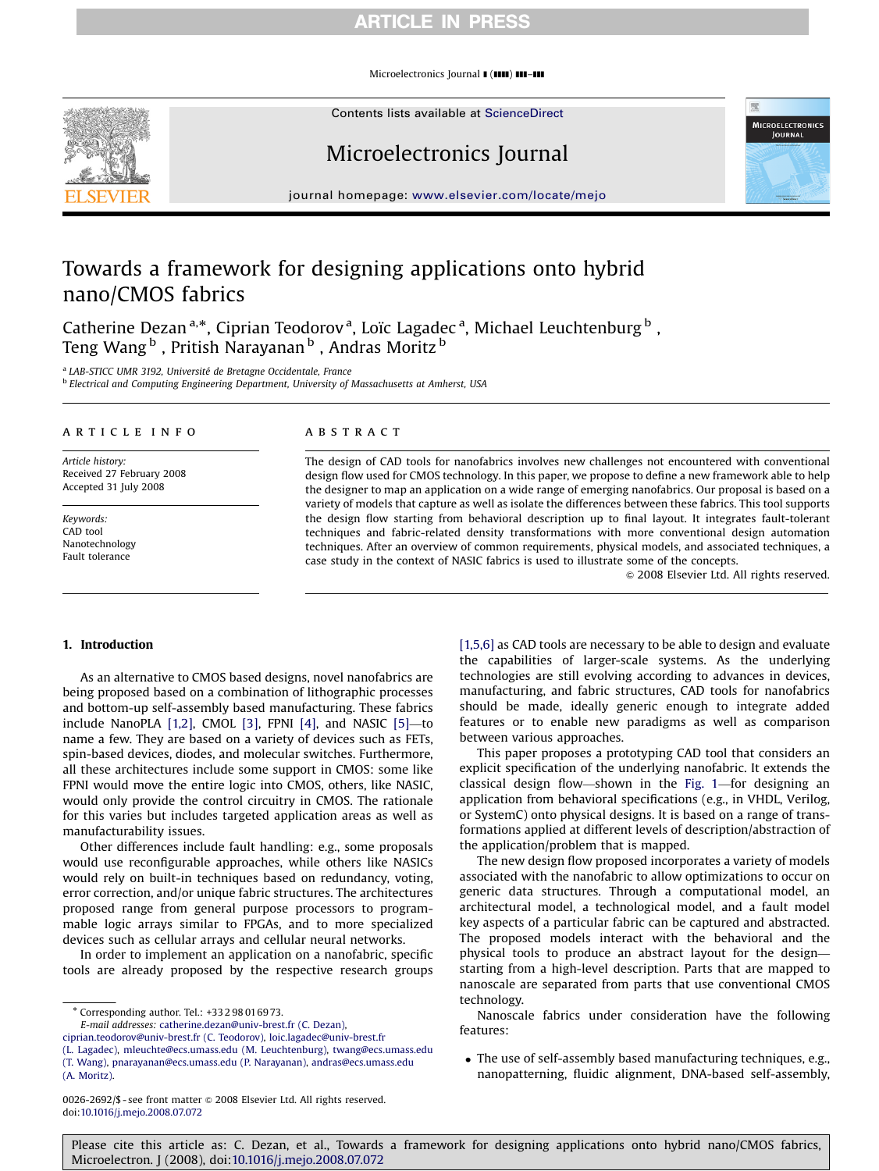Microelectronics Journal  $\blacksquare$  ( $\blacksquare\blacksquare$ )  $\blacksquare\blacksquare-\blacksquare$ 

Contents lists available at [ScienceDirect](www.sciencedirect.com/science/journal/mej)



# Microelectronics Journal

journal homepage: <www.elsevier.com/locate/mejo>

## Towards a framework for designing applications onto hybrid nano/CMOS fabrics

Catherine Dezan<sup>a,\*</sup>, Ciprian Teodorov<sup>a</sup>, Loïc Lagadec<sup>a</sup>, Michael Leuchtenburg <sup>b</sup>, Teng Wang <sup>b</sup>, Pritish Narayanan <sup>b</sup>, Andras Moritz <sup>b</sup>

<sup>a</sup> LAB-STICC UMR 3192, Université de Bretagne Occidentale, France

<sup>b</sup> Electrical and Computing Engineering Department, University of Massachusetts at Amherst, USA

#### article info

Article history: Received 27 February 2008 Accepted 31 July 2008

Keywords: CAD tool Nanotechnology Fault tolerance

#### **ABSTRACT**

The design of CAD tools for nanofabrics involves new challenges not encountered with conventional design flow used for CMOS technology. In this paper, we propose to define a new framework able to help the designer to map an application on a wide range of emerging nanofabrics. Our proposal is based on a variety of models that capture as well as isolate the differences between these fabrics. This tool supports the design flow starting from behavioral description up to final layout. It integrates fault-tolerant techniques and fabric-related density transformations with more conventional design automation techniques. After an overview of common requirements, physical models, and associated techniques, a case study in the context of NASIC fabrics is used to illustrate some of the concepts.

 $\odot$  2008 Elsevier Ltd. All rights reserved.

**MICROELECTRONICS JOURNAL** 

#### 1. Introduction

As an alternative to CMOS based designs, novel nanofabrics are being proposed based on a combination of lithographic processes and bottom-up self-assembly based manufacturing. These fabrics include NanoPLA [\[1,2\],](#page-7-0) CMOL [\[3\]](#page-7-0), FPNI [\[4\]](#page-7-0), and NASIC [\[5\]](#page-7-0)—to name a few. They are based on a variety of devices such as FETs, spin-based devices, diodes, and molecular switches. Furthermore, all these architectures include some support in CMOS: some like FPNI would move the entire logic into CMOS, others, like NASIC, would only provide the control circuitry in CMOS. The rationale for this varies but includes targeted application areas as well as manufacturability issues.

Other differences include fault handling: e.g., some proposals would use reconfigurable approaches, while others like NASICs would rely on built-in techniques based on redundancy, voting, error correction, and/or unique fabric structures. The architectures proposed range from general purpose processors to programmable logic arrays similar to FPGAs, and to more specialized devices such as cellular arrays and cellular neural networks.

In order to implement an application on a nanofabric, specific tools are already proposed by the respective research groups

E-mail addresses: [catherine.dezan@univ-brest.fr \(C. Dezan\),](mailto:catherine.dezan@univ-brest.fr)

[\[1,5,6\]](#page-7-0) as CAD tools are necessary to be able to design and evaluate the capabilities of larger-scale systems. As the underlying technologies are still evolving according to advances in devices, manufacturing, and fabric structures, CAD tools for nanofabrics should be made, ideally generic enough to integrate added features or to enable new paradigms as well as comparison between various approaches.

This paper proposes a prototyping CAD tool that considers an explicit specification of the underlying nanofabric. It extends the classical design flow—shown in the [Fig. 1](#page-1-0)—for designing an application from behavioral specifications (e.g., in VHDL, Verilog, or SystemC) onto physical designs. It is based on a range of transformations applied at different levels of description/abstraction of the application/problem that is mapped.

The new design flow proposed incorporates a variety of models associated with the nanofabric to allow optimizations to occur on generic data structures. Through a computational model, an architectural model, a technological model, and a fault model key aspects of a particular fabric can be captured and abstracted. The proposed models interact with the behavioral and the physical tools to produce an abstract layout for the design starting from a high-level description. Parts that are mapped to nanoscale are separated from parts that use conventional CMOS technology.

Nanoscale fabrics under consideration have the following features:

- The use of self-assembly based manufacturing techniques, e.g., nanopatterning, fluidic alignment, DNA-based self-assembly,

<sup>-</sup> Corresponding author. Tel.: +33 2 98 0169 73.

[ciprian.teodorov@univ-brest.fr \(C. Teodorov\),](mailto:ciprian.teodorov@univ-brest.fr) [loic.lagadec@univ-brest.fr](mailto:loic.lagadec@univ-brest.fr)

[<sup>\(</sup>L. Lagadec\)](mailto:loic.lagadec@univ-brest.fr), [mleuchte@ecs.umass.edu \(M. Leuchtenburg\)](mailto:mleuchte@ecs.umass.edu), [twang@ecs.umass.edu](mailto:twang@ecs.umass.edu)

[<sup>\(</sup>T. Wang\)](mailto:twang@ecs.umass.edu), [pnarayanan@ecs.umass.edu \(P. Narayanan\)](mailto:pnarayanan@ecs.umass.edu), [andras@ecs.umass.edu](mailto:andras@ecs.umass.edu) [\(A. Moritz\)](mailto:andras@ecs.umass.edu).

<sup>0026-2692/\$ -</sup> see front matter  $\circ$  2008 Elsevier Ltd. All rights reserved. doi:[10.1016/j.mejo.2008.07.072](dx.doi.org/10.1016/j.mejo.2008.07.072)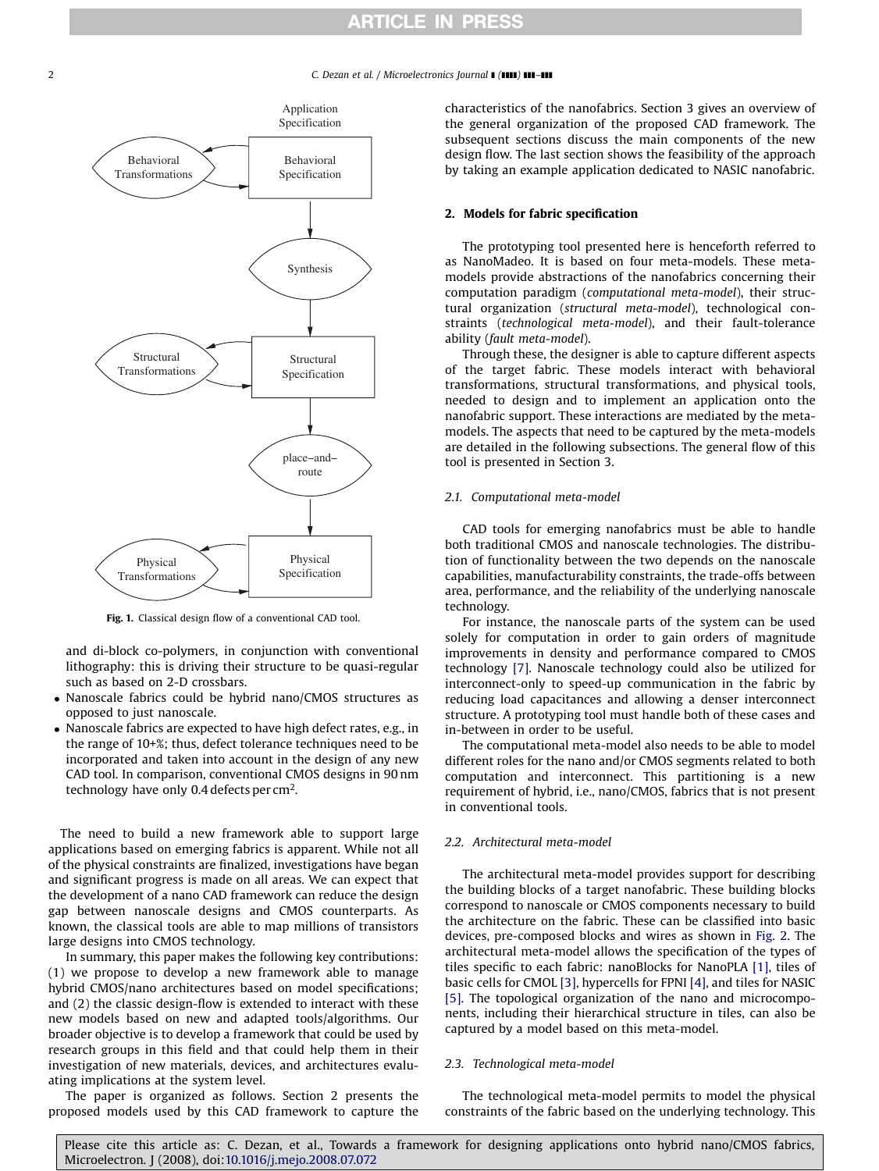#### <span id="page-1-0"></span>2 C. Dezan et al. / Microelectronics Journal **| (1111) 111–111**



Fig. 1. Classical design flow of a conventional CAD tool.

and di-block co-polymers, in conjunction with conventional lithography: this is driving their structure to be quasi-regular such as based on 2-D crossbars.

- $\bullet$  Nanoscale fabrics could be hybrid nano/CMOS structures as opposed to just nanoscale.
- Nanoscale fabrics are expected to have high defect rates, e.g., in the range of 10+%; thus, defect tolerance techniques need to be incorporated and taken into account in the design of any new CAD tool. In comparison, conventional CMOS designs in 90 nm technology have only 0.4 defects per cm2.

The need to build a new framework able to support large applications based on emerging fabrics is apparent. While not all of the physical constraints are finalized, investigations have began and significant progress is made on all areas. We can expect that the development of a nano CAD framework can reduce the design gap between nanoscale designs and CMOS counterparts. As known, the classical tools are able to map millions of transistors large designs into CMOS technology.

In summary, this paper makes the following key contributions: (1) we propose to develop a new framework able to manage hybrid CMOS/nano architectures based on model specifications; and (2) the classic design-flow is extended to interact with these new models based on new and adapted tools/algorithms. Our broader objective is to develop a framework that could be used by research groups in this field and that could help them in their investigation of new materials, devices, and architectures evaluating implications at the system level.

The paper is organized as follows. Section 2 presents the proposed models used by this CAD framework to capture the characteristics of the nanofabrics. Section 3 gives an overview of the general organization of the proposed CAD framework. The subsequent sections discuss the main components of the new design flow. The last section shows the feasibility of the approach by taking an example application dedicated to NASIC nanofabric.

#### 2. Models for fabric specification

The prototyping tool presented here is henceforth referred to as NanoMadeo. It is based on four meta-models. These metamodels provide abstractions of the nanofabrics concerning their computation paradigm (computational meta-model), their structural organization (structural meta-model), technological constraints (technological meta-model), and their fault-tolerance ability (fault meta-model).

Through these, the designer is able to capture different aspects of the target fabric. These models interact with behavioral transformations, structural transformations, and physical tools, needed to design and to implement an application onto the nanofabric support. These interactions are mediated by the metamodels. The aspects that need to be captured by the meta-models are detailed in the following subsections. The general flow of this tool is presented in Section 3.

#### 2.1. Computational meta-model

CAD tools for emerging nanofabrics must be able to handle both traditional CMOS and nanoscale technologies. The distribution of functionality between the two depends on the nanoscale capabilities, manufacturability constraints, the trade-offs between area, performance, and the reliability of the underlying nanoscale technology.

For instance, the nanoscale parts of the system can be used solely for computation in order to gain orders of magnitude improvements in density and performance compared to CMOS technology [\[7\]](#page-7-0). Nanoscale technology could also be utilized for interconnect-only to speed-up communication in the fabric by reducing load capacitances and allowing a denser interconnect structure. A prototyping tool must handle both of these cases and in-between in order to be useful.

The computational meta-model also needs to be able to model different roles for the nano and/or CMOS segments related to both computation and interconnect. This partitioning is a new requirement of hybrid, i.e., nano/CMOS, fabrics that is not present in conventional tools.

#### 2.2. Architectural meta-model

The architectural meta-model provides support for describing the building blocks of a target nanofabric. These building blocks correspond to nanoscale or CMOS components necessary to build the architecture on the fabric. These can be classified into basic devices, pre-composed blocks and wires as shown in [Fig. 2.](#page-2-0) The architectural meta-model allows the specification of the types of tiles specific to each fabric: nanoBlocks for NanoPLA [\[1\],](#page-7-0) tiles of basic cells for CMOL [\[3\],](#page-7-0) hypercells for FPNI [\[4\]](#page-7-0), and tiles for NASIC [\[5\].](#page-7-0) The topological organization of the nano and microcomponents, including their hierarchical structure in tiles, can also be captured by a model based on this meta-model.

#### 2.3. Technological meta-model

The technological meta-model permits to model the physical constraints of the fabric based on the underlying technology. This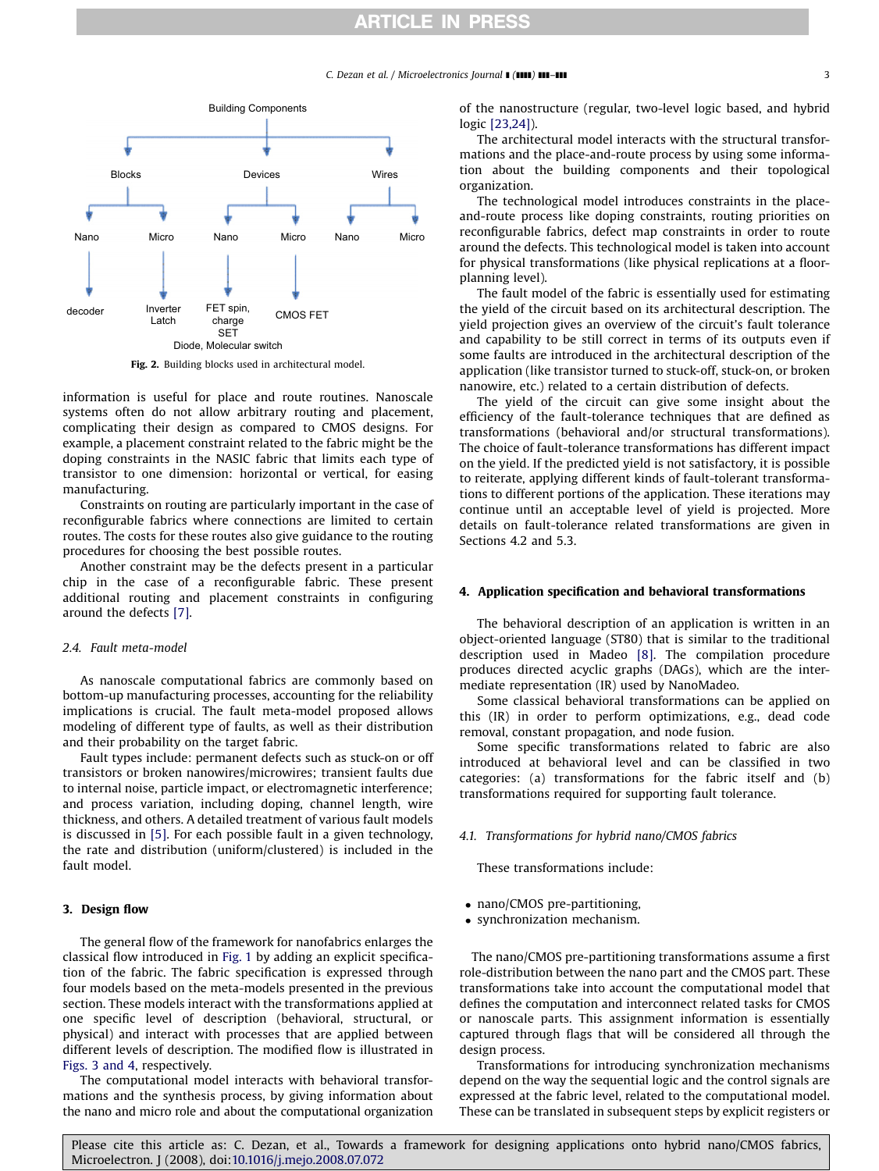C. Dezan et al. / Microelectronics Journal  $\blacksquare$  ( $\blacksquare\blacksquare$ )  $\blacksquare\blacksquare\blacksquare\blacksquare$ 

<span id="page-2-0"></span>

Fig. 2. Building blocks used in architectural model.

information is useful for place and route routines. Nanoscale systems often do not allow arbitrary routing and placement, complicating their design as compared to CMOS designs. For example, a placement constraint related to the fabric might be the doping constraints in the NASIC fabric that limits each type of transistor to one dimension: horizontal or vertical, for easing manufacturing.

Constraints on routing are particularly important in the case of reconfigurable fabrics where connections are limited to certain routes. The costs for these routes also give guidance to the routing procedures for choosing the best possible routes.

Another constraint may be the defects present in a particular chip in the case of a reconfigurable fabric. These present additional routing and placement constraints in configuring around the defects [\[7\]](#page-7-0).

#### 2.4. Fault meta-model

As nanoscale computational fabrics are commonly based on bottom-up manufacturing processes, accounting for the reliability implications is crucial. The fault meta-model proposed allows modeling of different type of faults, as well as their distribution and their probability on the target fabric.

Fault types include: permanent defects such as stuck-on or off transistors or broken nanowires/microwires; transient faults due to internal noise, particle impact, or electromagnetic interference; and process variation, including doping, channel length, wire thickness, and others. A detailed treatment of various fault models is discussed in [\[5\].](#page-7-0) For each possible fault in a given technology, the rate and distribution (uniform/clustered) is included in the fault model.

#### 3. Design flow

The general flow of the framework for nanofabrics enlarges the classical flow introduced in [Fig. 1](#page-1-0) by adding an explicit specification of the fabric. The fabric specification is expressed through four models based on the meta-models presented in the previous section. These models interact with the transformations applied at one specific level of description (behavioral, structural, or physical) and interact with processes that are applied between different levels of description. The modified flow is illustrated in [Figs. 3 and 4,](#page-3-0) respectively.

The computational model interacts with behavioral transformations and the synthesis process, by giving information about the nano and micro role and about the computational organization of the nanostructure (regular, two-level logic based, and hybrid logic [\[23,24\]\)](#page-8-0).

The architectural model interacts with the structural transformations and the place-and-route process by using some information about the building components and their topological organization.

The technological model introduces constraints in the placeand-route process like doping constraints, routing priorities on reconfigurable fabrics, defect map constraints in order to route around the defects. This technological model is taken into account for physical transformations (like physical replications at a floorplanning level).

The fault model of the fabric is essentially used for estimating the yield of the circuit based on its architectural description. The yield projection gives an overview of the circuit's fault tolerance and capability to be still correct in terms of its outputs even if some faults are introduced in the architectural description of the application (like transistor turned to stuck-off, stuck-on, or broken nanowire, etc.) related to a certain distribution of defects.

The yield of the circuit can give some insight about the efficiency of the fault-tolerance techniques that are defined as transformations (behavioral and/or structural transformations). The choice of fault-tolerance transformations has different impact on the yield. If the predicted yield is not satisfactory, it is possible to reiterate, applying different kinds of fault-tolerant transformations to different portions of the application. These iterations may continue until an acceptable level of yield is projected. More details on fault-tolerance related transformations are given in Sections 4.2 and 5.3.

#### 4. Application specification and behavioral transformations

The behavioral description of an application is written in an object-oriented language (ST80) that is similar to the traditional description used in Madeo [\[8\].](#page-7-0) The compilation procedure produces directed acyclic graphs (DAGs), which are the intermediate representation (IR) used by NanoMadeo.

Some classical behavioral transformations can be applied on this (IR) in order to perform optimizations, e.g., dead code removal, constant propagation, and node fusion.

Some specific transformations related to fabric are also introduced at behavioral level and can be classified in two categories: (a) transformations for the fabric itself and (b) transformations required for supporting fault tolerance.

#### 4.1. Transformations for hybrid nano/CMOS fabrics

These transformations include:

- nano/CMOS pre-partitioning,
- synchronization mechanism.

The nano/CMOS pre-partitioning transformations assume a first role-distribution between the nano part and the CMOS part. These transformations take into account the computational model that defines the computation and interconnect related tasks for CMOS or nanoscale parts. This assignment information is essentially captured through flags that will be considered all through the design process.

Transformations for introducing synchronization mechanisms depend on the way the sequential logic and the control signals are expressed at the fabric level, related to the computational model. These can be translated in subsequent steps by explicit registers or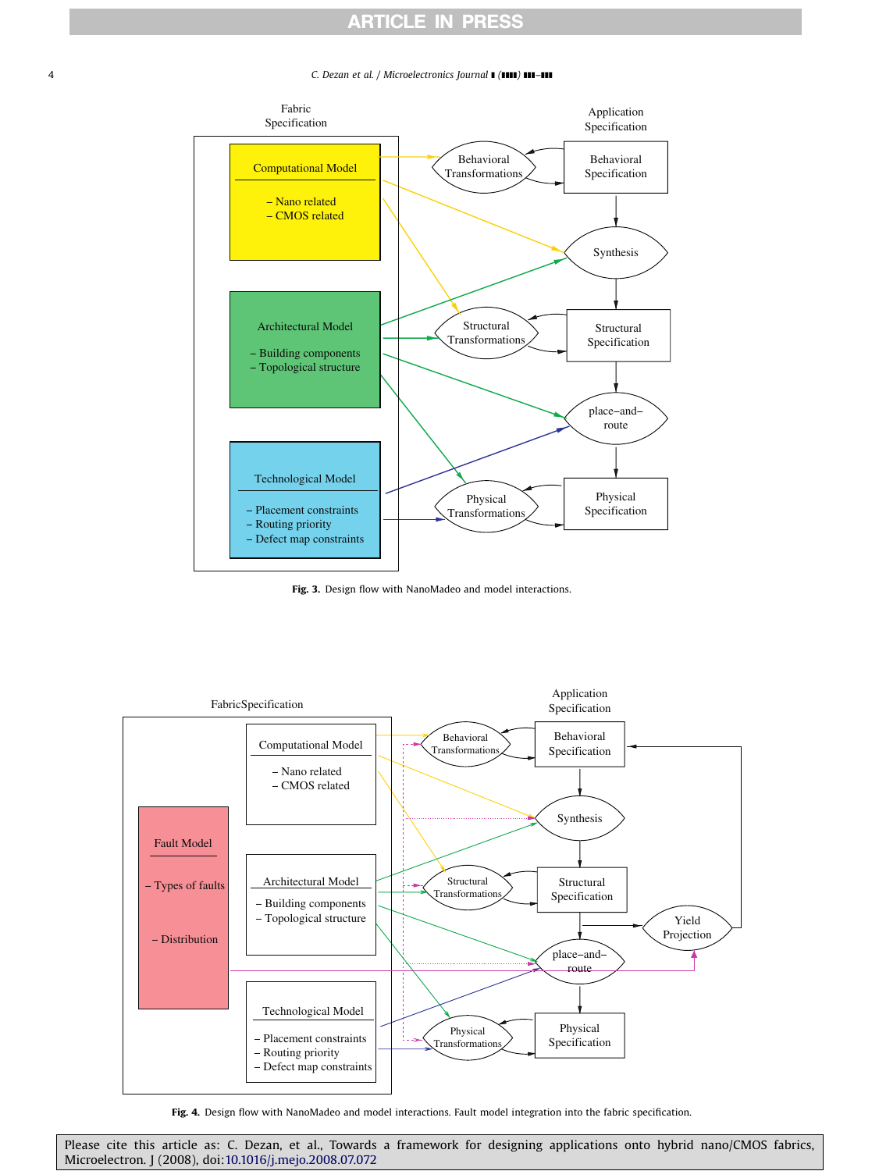#### <span id="page-3-0"></span>4 C. Dezan et al. / Microelectronics Journal **| (1111) 111–111**



Fig. 3. Design flow with NanoMadeo and model interactions.



Fig. 4. Design flow with NanoMadeo and model interactions. Fault model integration into the fabric specification.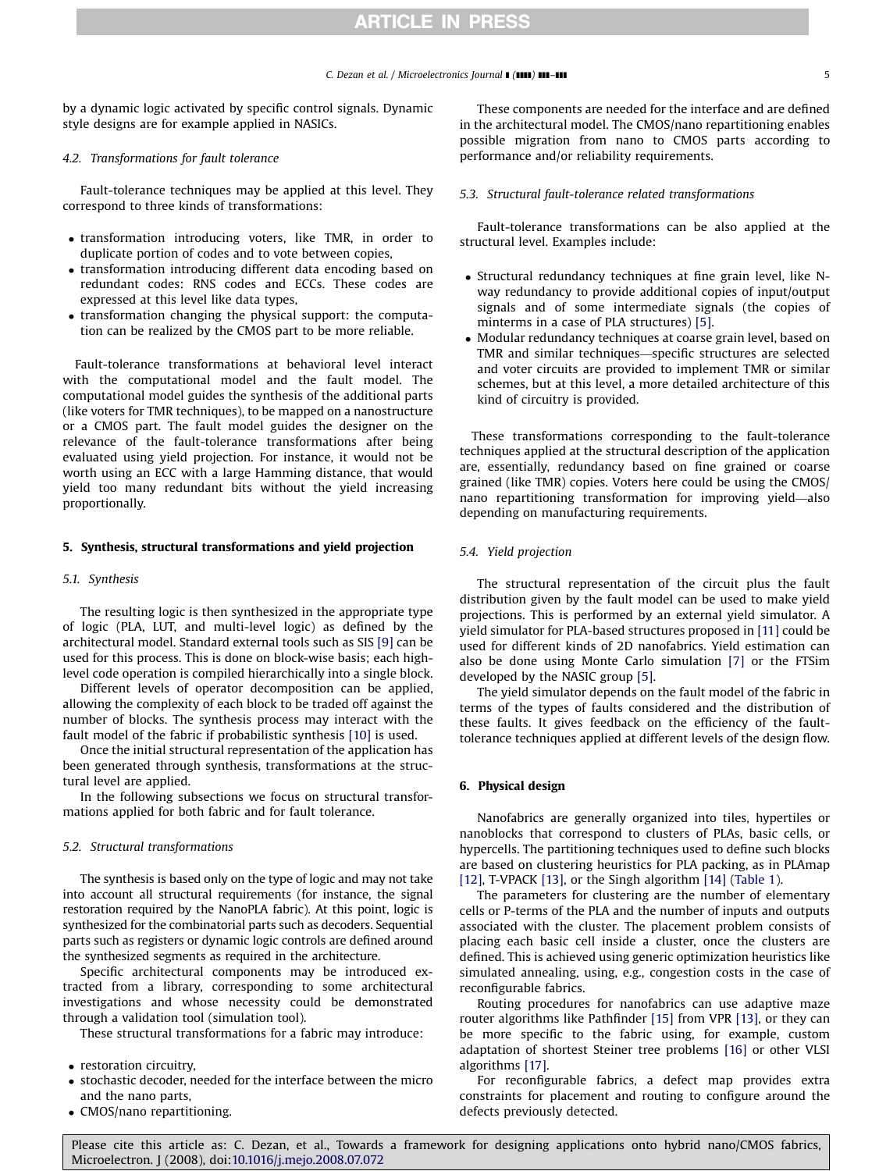by a dynamic logic activated by specific control signals. Dynamic style designs are for example applied in NASICs.

#### 4.2. Transformations for fault tolerance

Fault-tolerance techniques may be applied at this level. They correspond to three kinds of transformations:

- transformation introducing voters, like TMR, in order to duplicate portion of codes and to vote between copies,
- transformation introducing different data encoding based on redundant codes: RNS codes and ECCs. These codes are expressed at this level like data types,
- transformation changing the physical support: the computation can be realized by the CMOS part to be more reliable.

Fault-tolerance transformations at behavioral level interact with the computational model and the fault model. The computational model guides the synthesis of the additional parts (like voters for TMR techniques), to be mapped on a nanostructure or a CMOS part. The fault model guides the designer on the relevance of the fault-tolerance transformations after being evaluated using yield projection. For instance, it would not be worth using an ECC with a large Hamming distance, that would yield too many redundant bits without the yield increasing proportionally.

#### 5. Synthesis, structural transformations and yield projection

#### 5.1. Synthesis

The resulting logic is then synthesized in the appropriate type of logic (PLA, LUT, and multi-level logic) as defined by the architectural model. Standard external tools such as SIS [\[9\]](#page-7-0) can be used for this process. This is done on block-wise basis; each highlevel code operation is compiled hierarchically into a single block.

Different levels of operator decomposition can be applied, allowing the complexity of each block to be traded off against the number of blocks. The synthesis process may interact with the fault model of the fabric if probabilistic synthesis [\[10\]](#page-7-0) is used.

Once the initial structural representation of the application has been generated through synthesis, transformations at the structural level are applied.

In the following subsections we focus on structural transformations applied for both fabric and for fault tolerance.

#### 5.2. Structural transformations

The synthesis is based only on the type of logic and may not take into account all structural requirements (for instance, the signal restoration required by the NanoPLA fabric). At this point, logic is synthesized for the combinatorial parts such as decoders. Sequential parts such as registers or dynamic logic controls are defined around the synthesized segments as required in the architecture.

Specific architectural components may be introduced extracted from a library, corresponding to some architectural investigations and whose necessity could be demonstrated through a validation tool (simulation tool).

These structural transformations for a fabric may introduce:

- restoration circuitry,
- stochastic decoder, needed for the interface between the micro and the nano parts,
- CMOS/nano repartitioning.

These components are needed for the interface and are defined in the architectural model. The CMOS/nano repartitioning enables possible migration from nano to CMOS parts according to performance and/or reliability requirements.

#### 5.3. Structural fault-tolerance related transformations

Fault-tolerance transformations can be also applied at the structural level. Examples include:

- Structural redundancy techniques at fine grain level, like Nway redundancy to provide additional copies of input/output signals and of some intermediate signals (the copies of minterms in a case of PLA structures) [\[5\]](#page-7-0).
- Modular redundancy techniques at coarse grain level, based on TMR and similar techniques—specific structures are selected and voter circuits are provided to implement TMR or similar schemes, but at this level, a more detailed architecture of this kind of circuitry is provided.

These transformations corresponding to the fault-tolerance techniques applied at the structural description of the application are, essentially, redundancy based on fine grained or coarse grained (like TMR) copies. Voters here could be using the CMOS/ nano repartitioning transformation for improving yield—also depending on manufacturing requirements.

#### 5.4. Yield projection

The structural representation of the circuit plus the fault distribution given by the fault model can be used to make yield projections. This is performed by an external yield simulator. A yield simulator for PLA-based structures proposed in [\[11\]](#page-7-0) could be used for different kinds of 2D nanofabrics. Yield estimation can also be done using Monte Carlo simulation [\[7\]](#page-7-0) or the FTSim developed by the NASIC group [\[5\].](#page-7-0)

The yield simulator depends on the fault model of the fabric in terms of the types of faults considered and the distribution of these faults. It gives feedback on the efficiency of the faulttolerance techniques applied at different levels of the design flow.

#### 6. Physical design

Nanofabrics are generally organized into tiles, hypertiles or nanoblocks that correspond to clusters of PLAs, basic cells, or hypercells. The partitioning techniques used to define such blocks are based on clustering heuristics for PLA packing, as in PLAmap [\[12\],](#page-7-0) T-VPACK [\[13\]](#page-7-0), or the Singh algorithm [\[14\]](#page-7-0) [\(Table 1\)](#page-5-0).

The parameters for clustering are the number of elementary cells or P-terms of the PLA and the number of inputs and outputs associated with the cluster. The placement problem consists of placing each basic cell inside a cluster, once the clusters are defined. This is achieved using generic optimization heuristics like simulated annealing, using, e.g., congestion costs in the case of reconfigurable fabrics.

Routing procedures for nanofabrics can use adaptive maze router algorithms like Pathfinder [\[15\]](#page-7-0) from VPR [\[13\]](#page-7-0), or they can be more specific to the fabric using, for example, custom adaptation of shortest Steiner tree problems [\[16\]](#page-7-0) or other VLSI algorithms [\[17\]](#page-7-0).

For reconfigurable fabrics, a defect map provides extra constraints for placement and routing to configure around the defects previously detected.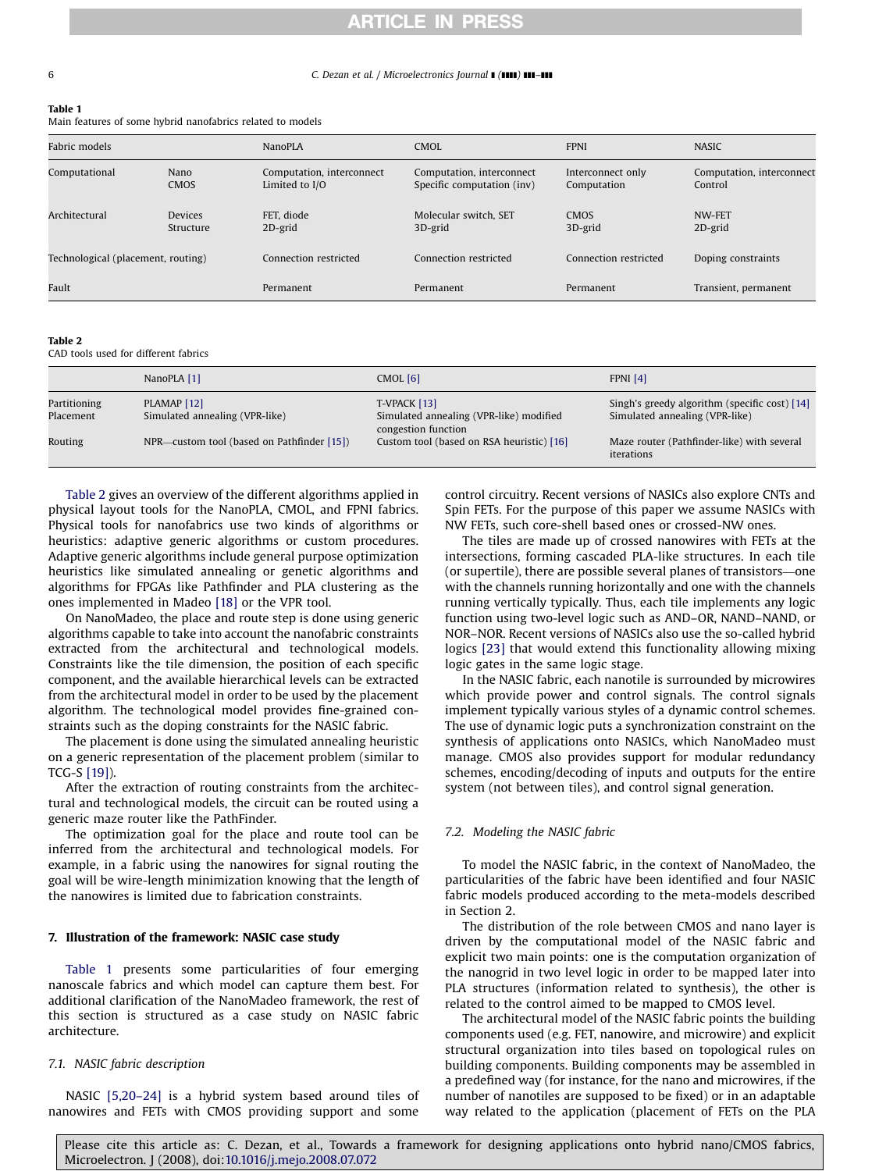#### <span id="page-5-0"></span>6 **C. Dezan et al. / Microelectronics Journal 1 (1111) 111-111**

#### Table 1

Main features of some hybrid nanofabrics related to models

| Fabric models                      |                             | <b>NanoPLA</b>                              | <b>CMOL</b>                                             | <b>FPNI</b>                      | <b>NASIC</b>                         |
|------------------------------------|-----------------------------|---------------------------------------------|---------------------------------------------------------|----------------------------------|--------------------------------------|
| Computational                      | Nano<br><b>CMOS</b>         | Computation, interconnect<br>Limited to I/O | Computation, interconnect<br>Specific computation (inv) | Interconnect only<br>Computation | Computation, interconnect<br>Control |
| Architectural                      | <b>Devices</b><br>Structure | FET, diode<br>2D-grid                       | Molecular switch, SET<br>3D-grid                        | <b>CMOS</b><br>3D-grid           | NW-FET<br>$2D$ -grid                 |
| Technological (placement, routing) |                             | Connection restricted                       | Connection restricted                                   | Connection restricted            | Doping constraints                   |
| Fault                              |                             | Permanent                                   | Permanent                                               | Permanent                        | Transient, permanent                 |

#### Table 2

CAD tools used for different fabrics

|                           | NanoPLA [1]                                   | CMOL [6]                                                | FPNI [4]                                                                        |
|---------------------------|-----------------------------------------------|---------------------------------------------------------|---------------------------------------------------------------------------------|
| Partitioning<br>Placement | PLAMAP [12]<br>Simulated annealing (VPR-like) | T-VPACK [13]<br>Simulated annealing (VPR-like) modified | Singh's greedy algorithm (specific cost) [14]<br>Simulated annealing (VPR-like) |
|                           |                                               | congestion function                                     |                                                                                 |
| Routing                   | NPR—custom tool (based on Pathfinder [15])    | Custom tool (based on RSA heuristic) [16]               | Maze router (Pathfinder-like) with several<br>iterations                        |

Table 2 gives an overview of the different algorithms applied in physical layout tools for the NanoPLA, CMOL, and FPNI fabrics. Physical tools for nanofabrics use two kinds of algorithms or heuristics: adaptive generic algorithms or custom procedures. Adaptive generic algorithms include general purpose optimization heuristics like simulated annealing or genetic algorithms and algorithms for FPGAs like Pathfinder and PLA clustering as the ones implemented in Madeo [\[18\]](#page-7-0) or the VPR tool.

On NanoMadeo, the place and route step is done using generic algorithms capable to take into account the nanofabric constraints extracted from the architectural and technological models. Constraints like the tile dimension, the position of each specific component, and the available hierarchical levels can be extracted from the architectural model in order to be used by the placement algorithm. The technological model provides fine-grained constraints such as the doping constraints for the NASIC fabric.

The placement is done using the simulated annealing heuristic on a generic representation of the placement problem (similar to TCG-S [\[19\]\)](#page-8-0).

After the extraction of routing constraints from the architectural and technological models, the circuit can be routed using a generic maze router like the PathFinder.

The optimization goal for the place and route tool can be inferred from the architectural and technological models. For example, in a fabric using the nanowires for signal routing the goal will be wire-length minimization knowing that the length of the nanowires is limited due to fabrication constraints.

#### 7. Illustration of the framework: NASIC case study

Table 1 presents some particularities of four emerging nanoscale fabrics and which model can capture them best. For additional clarification of the NanoMadeo framework, the rest of this section is structured as a case study on NASIC fabric architecture.

#### 7.1. NASIC fabric description

NASIC [\[5,20–24\]](#page-7-0) is a hybrid system based around tiles of nanowires and FETs with CMOS providing support and some control circuitry. Recent versions of NASICs also explore CNTs and Spin FETs. For the purpose of this paper we assume NASICs with NW FETs, such core-shell based ones or crossed-NW ones.

The tiles are made up of crossed nanowires with FETs at the intersections, forming cascaded PLA-like structures. In each tile (or supertile), there are possible several planes of transistors—one with the channels running horizontally and one with the channels running vertically typically. Thus, each tile implements any logic function using two-level logic such as AND–OR, NAND–NAND, or NOR–NOR. Recent versions of NASICs also use the so-called hybrid logics [\[23\]](#page-8-0) that would extend this functionality allowing mixing logic gates in the same logic stage.

In the NASIC fabric, each nanotile is surrounded by microwires which provide power and control signals. The control signals implement typically various styles of a dynamic control schemes. The use of dynamic logic puts a synchronization constraint on the synthesis of applications onto NASICs, which NanoMadeo must manage. CMOS also provides support for modular redundancy schemes, encoding/decoding of inputs and outputs for the entire system (not between tiles), and control signal generation.

#### 7.2. Modeling the NASIC fabric

To model the NASIC fabric, in the context of NanoMadeo, the particularities of the fabric have been identified and four NASIC fabric models produced according to the meta-models described in Section 2.

The distribution of the role between CMOS and nano layer is driven by the computational model of the NASIC fabric and explicit two main points: one is the computation organization of the nanogrid in two level logic in order to be mapped later into PLA structures (information related to synthesis), the other is related to the control aimed to be mapped to CMOS level.

The architectural model of the NASIC fabric points the building components used (e.g. FET, nanowire, and microwire) and explicit structural organization into tiles based on topological rules on building components. Building components may be assembled in a predefined way (for instance, for the nano and microwires, if the number of nanotiles are supposed to be fixed) or in an adaptable way related to the application (placement of FETs on the PLA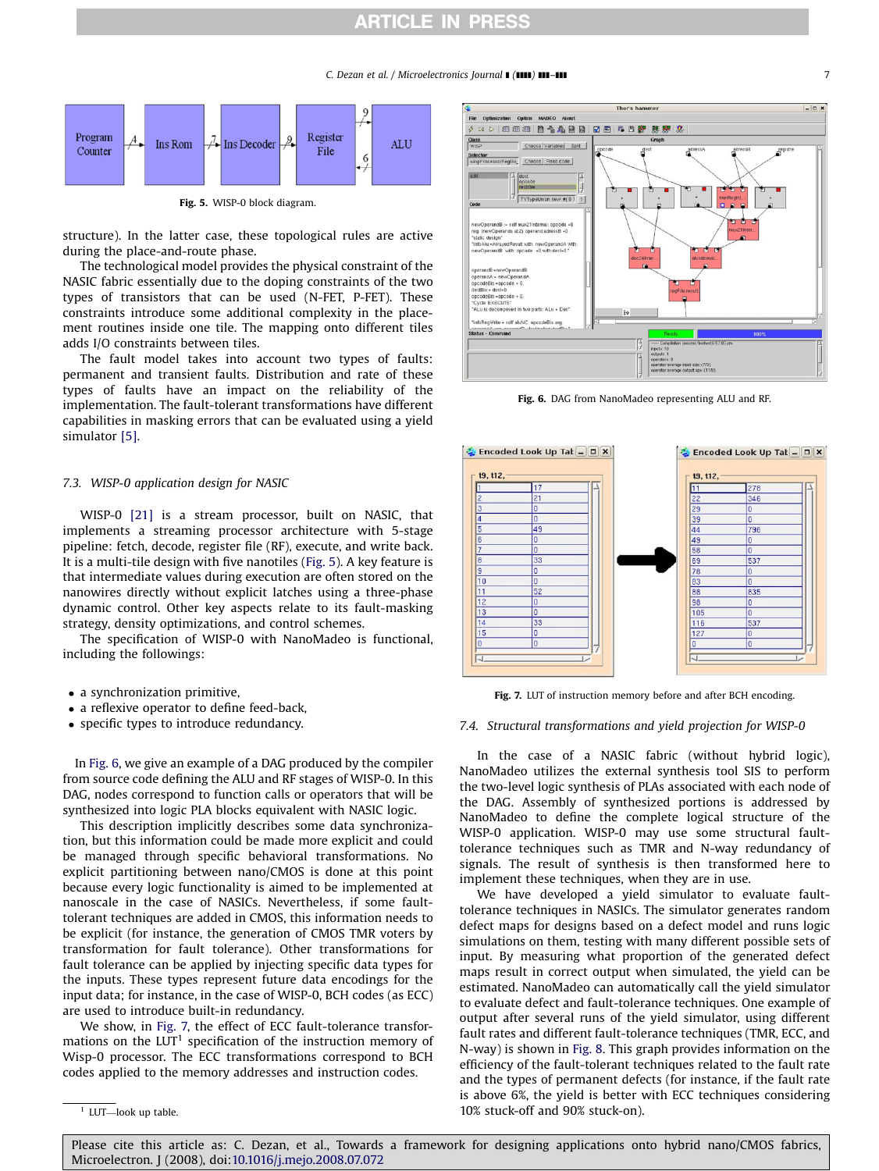

Fig. 5. WISP-0 block diagram.

structure). In the latter case, these topological rules are active during the place-and-route phase.

The technological model provides the physical constraint of the NASIC fabric essentially due to the doping constraints of the two types of transistors that can be used (N-FET, P-FET). These constraints introduce some additional complexity in the placement routines inside one tile. The mapping onto different tiles adds I/O constraints between tiles.

The fault model takes into account two types of faults: permanent and transient faults. Distribution and rate of these types of faults have an impact on the reliability of the implementation. The fault-tolerant transformations have different capabilities in masking errors that can be evaluated using a yield simulator [\[5\].](#page-7-0)

#### 7.3. WISP-0 application design for NASIC

WISP-0 [\[21\]](#page-8-0) is a stream processor, built on NASIC, that implements a streaming processor architecture with 5-stage pipeline: fetch, decode, register file (RF), execute, and write back. It is a multi-tile design with five nanotiles (Fig. 5). A key feature is that intermediate values during execution are often stored on the nanowires directly without explicit latches using a three-phase dynamic control. Other key aspects relate to its fault-masking strategy, density optimizations, and control schemes.

The specification of WISP-0 with NanoMadeo is functional, including the followings:

- a synchronization primitive,
- a reflexive operator to define feed-back,
- specific types to introduce redundancy.

In Fig. 6, we give an example of a DAG produced by the compiler from source code defining the ALU and RF stages of WISP-0. In this DAG, nodes correspond to function calls or operators that will be synthesized into logic PLA blocks equivalent with NASIC logic.

This description implicitly describes some data synchronization, but this information could be made more explicit and could be managed through specific behavioral transformations. No explicit partitioning between nano/CMOS is done at this point because every logic functionality is aimed to be implemented at nanoscale in the case of NASICs. Nevertheless, if some faulttolerant techniques are added in CMOS, this information needs to be explicit (for instance, the generation of CMOS TMR voters by transformation for fault tolerance). Other transformations for fault tolerance can be applied by injecting specific data types for the inputs. These types represent future data encodings for the input data; for instance, in the case of WISP-0, BCH codes (as ECC) are used to introduce built-in redundancy.

We show, in Fig. 7, the effect of ECC fault-tolerance transformations on the  $LUT<sup>1</sup>$  specification of the instruction memory of Wisp-0 processor. The ECC transformations correspond to BCH codes applied to the memory addresses and instruction codes.



Fig. 6. DAG from NanoMadeo representing ALU and RF.



Fig. 7. LUT of instruction memory before and after BCH encoding.

#### 7.4. Structural transformations and yield projection for WISP-0

In the case of a NASIC fabric (without hybrid logic), NanoMadeo utilizes the external synthesis tool SIS to perform the two-level logic synthesis of PLAs associated with each node of the DAG. Assembly of synthesized portions is addressed by NanoMadeo to define the complete logical structure of the WISP-0 application. WISP-0 may use some structural faulttolerance techniques such as TMR and N-way redundancy of signals. The result of synthesis is then transformed here to implement these techniques, when they are in use.

We have developed a yield simulator to evaluate faulttolerance techniques in NASICs. The simulator generates random defect maps for designs based on a defect model and runs logic simulations on them, testing with many different possible sets of input. By measuring what proportion of the generated defect maps result in correct output when simulated, the yield can be estimated. NanoMadeo can automatically call the yield simulator to evaluate defect and fault-tolerance techniques. One example of output after several runs of the yield simulator, using different fault rates and different fault-tolerance techniques (TMR, ECC, and N-way) is shown in [Fig. 8](#page-7-0). This graph provides information on the efficiency of the fault-tolerant techniques related to the fault rate and the types of permanent defects (for instance, if the fault rate is above 6%, the yield is better with ECC techniques considering 10% stuck-off and 90% stuck-on).

<sup>&</sup>lt;sup>1</sup> LUT-look up table.

Please cite this article as: C. Dezan, et al., Towards a framework for designing applications onto hybrid nano/CMOS fabrics, Microelectron. J (2008), doi[:10.1016/j.mejo.2008.07.072](dx.doi.org/10.1016/j.mejo.2008.07.072)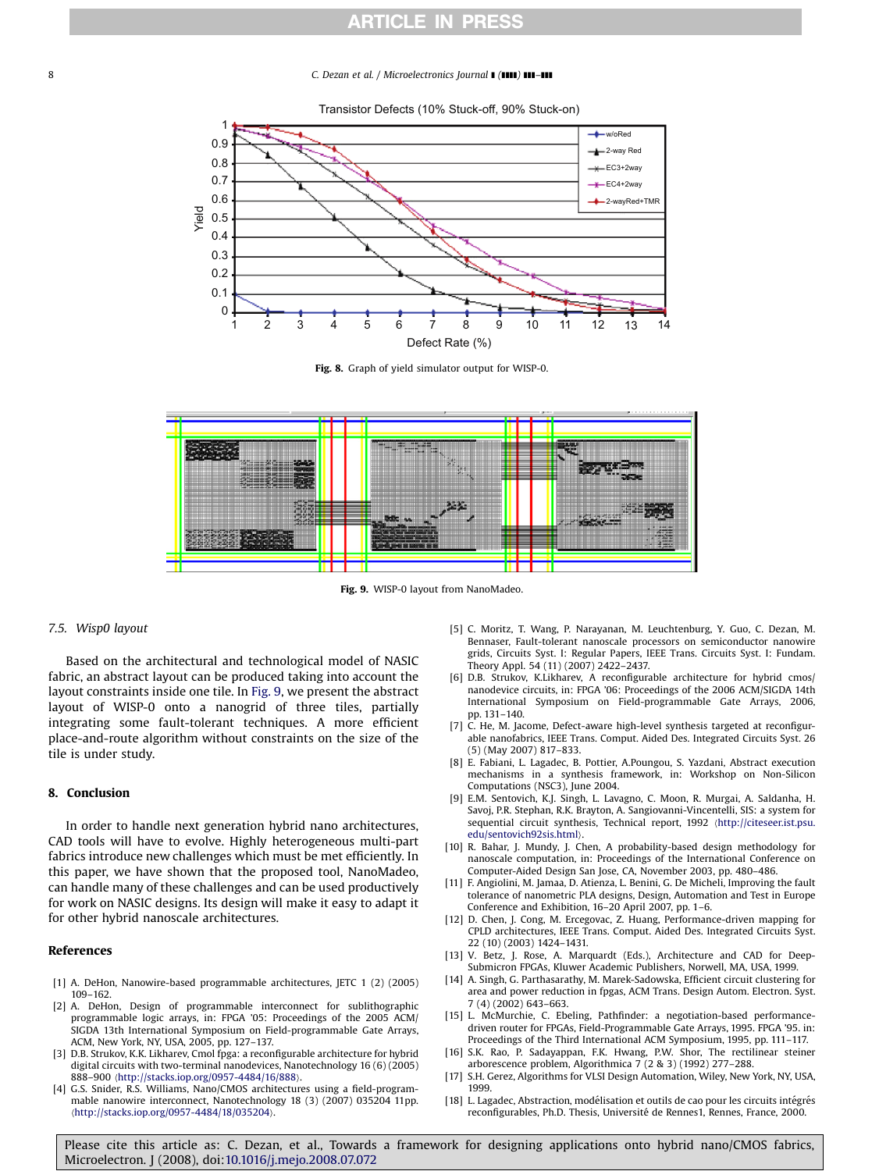<span id="page-7-0"></span>8 C. Dezan et al. / Microelectronics Journal **[[1111]**) **III**-111



Transistor Defects (10% Stuck-off, 90% Stuck-on)





Fig. 9. WISP-0 layout from NanoMadeo.

#### 7.5. Wisp0 layout

Based on the architectural and technological model of NASIC fabric, an abstract layout can be produced taking into account the layout constraints inside one tile. In Fig. 9, we present the abstract layout of WISP-0 onto a nanogrid of three tiles, partially integrating some fault-tolerant techniques. A more efficient place-and-route algorithm without constraints on the size of the tile is under study.

#### 8. Conclusion

In order to handle next generation hybrid nano architectures, CAD tools will have to evolve. Highly heterogeneous multi-part fabrics introduce new challenges which must be met efficiently. In this paper, we have shown that the proposed tool, NanoMadeo, can handle many of these challenges and can be used productively for work on NASIC designs. Its design will make it easy to adapt it for other hybrid nanoscale architectures.

#### References

- [1] A. DeHon, Nanowire-based programmable architectures, JETC 1 (2) (2005) 109–162.
- [2] A. DeHon, Design of programmable interconnect for sublithographic programmable logic arrays, in: FPGA '05: Proceedings of the 2005 ACM/ SIGDA 13th International Symposium on Field-programmable Gate Arrays, ACM, New York, NY, USA, 2005, pp. 127–137.
- [3] D.B. Strukov, K.K. Likharev, Cmol fpga: a reconfigurable architecture for hybrid digital circuits with two-terminal nanodevices, Nanotechnology 16 (6) (2005) 888-900 (<http://stacks.iop.org/0957-4484/16/888>).
- [4] G.S. Snider, R.S. Williams, Nano/CMOS architectures using a field-programmable nanowire interconnect, Nanotechnology 18 (3) (2007) 035204 11pp. (<http://stacks.iop.org/0957-4484/18/035204>).
- [5] C. Moritz, T. Wang, P. Narayanan, M. Leuchtenburg, Y. Guo, C. Dezan, M. Bennaser, Fault-tolerant nanoscale processors on semiconductor nanowire grids, Circuits Syst. I: Regular Papers, IEEE Trans. Circuits Syst. I: Fundam. Theory Appl. 54 (11) (2007) 2422–2437.
- [6] D.B. Strukov, K.Likharev, A reconfigurable architecture for hybrid cmos/ nanodevice circuits, in: FPGA '06: Proceedings of the 2006 ACM/SIGDA 14th International Symposium on Field-programmable Gate Arrays, 2006, pp. 131–140.
- [7] C. He, M. Jacome, Defect-aware high-level synthesis targeted at reconfigurable nanofabrics, IEEE Trans. Comput. Aided Des. Integrated Circuits Syst. 26 (5) (May 2007) 817–833.
- [8] E. Fabiani, L. Lagadec, B. Pottier, A.Poungou, S. Yazdani, Abstract execution mechanisms in a synthesis framework, in: Workshop on Non-Silicon Computations (NSC3), June 2004.
- [9] E.M. Sentovich, K.J. Singh, L. Lavagno, C. Moon, R. Murgai, A. Saldanha, H. Savoj, P.R. Stephan, R.K. Brayton, A. Sangiovanni-Vincentelli, SIS: a system for sequential circuit synthesis, Technical report, 1992 ([http://citeseer.ist.psu.](http://citeseer.ist.psu.edu/sentovich92sis.html) [edu/sentovich92sis.html](http://citeseer.ist.psu.edu/sentovich92sis.html)i.
- [10] R. Bahar, J. Mundy, J. Chen, A probability-based design methodology for nanoscale computation, in: Proceedings of the International Conference on Computer-Aided Design San Jose, CA, November 2003, pp. 480–486.
- [11] F. Angiolini, M. Jamaa, D. Atienza, L. Benini, G. De Micheli, Improving the fault tolerance of nanometric PLA designs, Design, Automation and Test in Europe Conference and Exhibition, 16–20 April 2007, pp. 1–6.
- [12] D. Chen, J. Cong, M. Ercegovac, Z. Huang, Performance-driven mapping for CPLD architectures, IEEE Trans. Comput. Aided Des. Integrated Circuits Syst. 22 (10) (2003) 1424–1431.
- [13] V. Betz, J. Rose, A. Marquardt (Eds.), Architecture and CAD for Deep-Submicron FPGAs, Kluwer Academic Publishers, Norwell, MA, USA, 1999.
- [14] A. Singh, G. Parthasarathy, M. Marek-Sadowska, Efficient circuit clustering for area and power reduction in fpgas, ACM Trans. Design Autom. Electron. Syst. 7 (4) (2002) 643–663.
- [15] L. McMurchie, C. Ebeling, Pathfinder: a negotiation-based performancedriven router for FPGAs, Field-Programmable Gate Arrays, 1995. FPGA '95. in: Proceedings of the Third International ACM Symposium, 1995, pp. 111–117.
- [16] S.K. Rao, P. Sadayappan, F.K. Hwang, P.W. Shor, The rectilinear steiner arborescence problem, Algorithmica 7 (2 & 3) (1992) 277–288.
- [17] S.H. Gerez, Algorithms for VLSI Design Automation, Wiley, New York, NY, USA, 1999.
- [18] L. Lagadec, Abstraction, modélisation et outils de cao pour les circuits intégrés reconfigurables, Ph.D. Thesis, Université de Rennes1, Rennes, France, 2000.